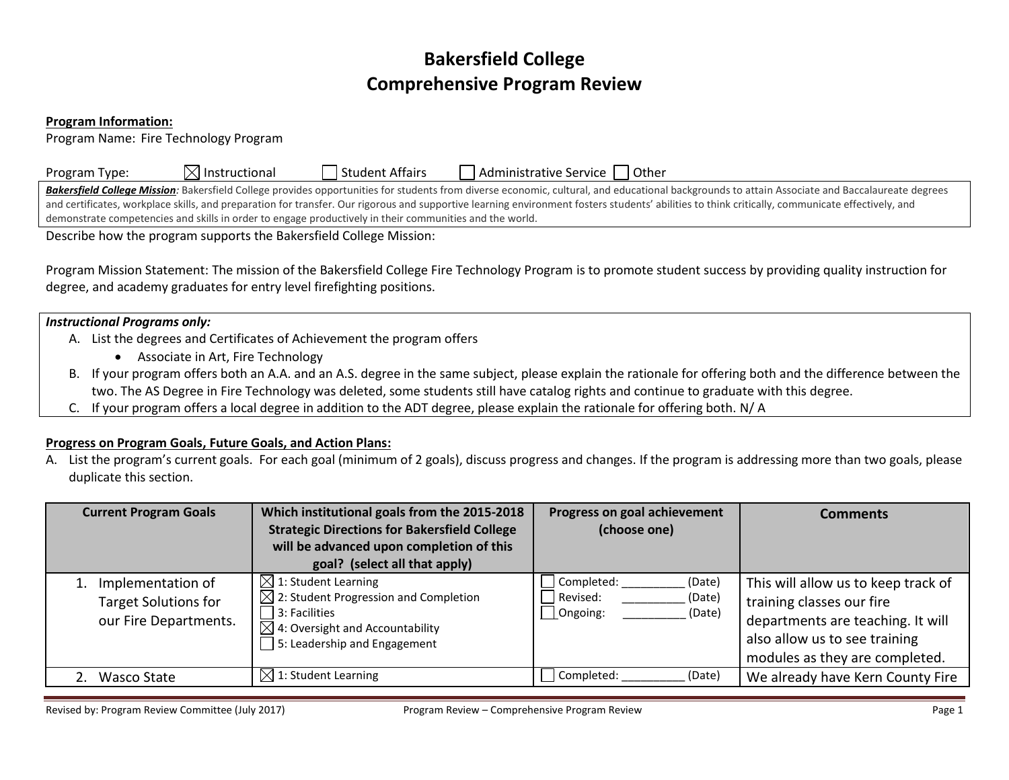# **Bakersfield College Comprehensive Program Review**

#### **Program Information:**

Program Name: Fire Technology Program

| Program Type: | $\boxtimes$ Instructional | Student Affairs | Administrative Service   Other |
|---------------|---------------------------|-----------------|--------------------------------|
|---------------|---------------------------|-----------------|--------------------------------|

Bakersfield College Mission: Bakersfield College provides opportunities for students from diverse economic, cultural, and educational backgrounds to attain Associate and Baccalaureate degrees and certificates, workplace skills, and preparation for transfer. Our rigorous and supportive learning environment fosters students' abilities to think critically, communicate effectively, and demonstrate competencies and skills in order to engage productively in their communities and the world.

Describe how the program supports the Bakersfield College Mission:

Program Mission Statement: The mission of the Bakersfield College Fire Technology Program is to promote student success by providing quality instruction for degree, and academy graduates for entry level firefighting positions.

### *Instructional Programs only:*

- A. List the degrees and Certificates of Achievement the program offers
	- Associate in Art, Fire Technology
- B. If your program offers both an A.A. and an A.S. degree in the same subject, please explain the rationale for offering both and the difference between the two. The AS Degree in Fire Technology was deleted, some students still have catalog rights and continue to graduate with this degree.
- C. If your program offers a local degree in addition to the ADT degree, please explain the rationale for offering both. N/ A

## **Progress on Program Goals, Future Goals, and Action Plans:**

A. List the program's current goals. For each goal (minimum of 2 goals), discuss progress and changes. If the program is addressing more than two goals, please duplicate this section.

| <b>Current Program Goals</b>                                                 | Which institutional goals from the 2015-2018<br><b>Strategic Directions for Bakersfield College</b><br>will be advanced upon completion of this<br>goal? (select all that apply)     | Progress on goal achievement<br>(choose one)                            | Comments                                                                                                                                                                 |
|------------------------------------------------------------------------------|--------------------------------------------------------------------------------------------------------------------------------------------------------------------------------------|-------------------------------------------------------------------------|--------------------------------------------------------------------------------------------------------------------------------------------------------------------------|
| 1. Implementation of<br><b>Target Solutions for</b><br>our Fire Departments. | $\boxtimes$ 1: Student Learning<br>$\boxtimes$ 2: Student Progression and Completion<br>3: Facilities<br>$\boxtimes$ 4: Oversight and Accountability<br>5: Leadership and Engagement | Completed:<br>(Date)<br>Revised:<br>(Date)<br>$\Box$ Ongoing:<br>(Date) | This will allow us to keep track of<br>training classes our fire<br>departments are teaching. It will<br>also allow us to see training<br>modules as they are completed. |
| 2. Wasco State                                                               | $\boxtimes$ 1: Student Learning                                                                                                                                                      | Completed:<br>(Date)                                                    | We already have Kern County Fire                                                                                                                                         |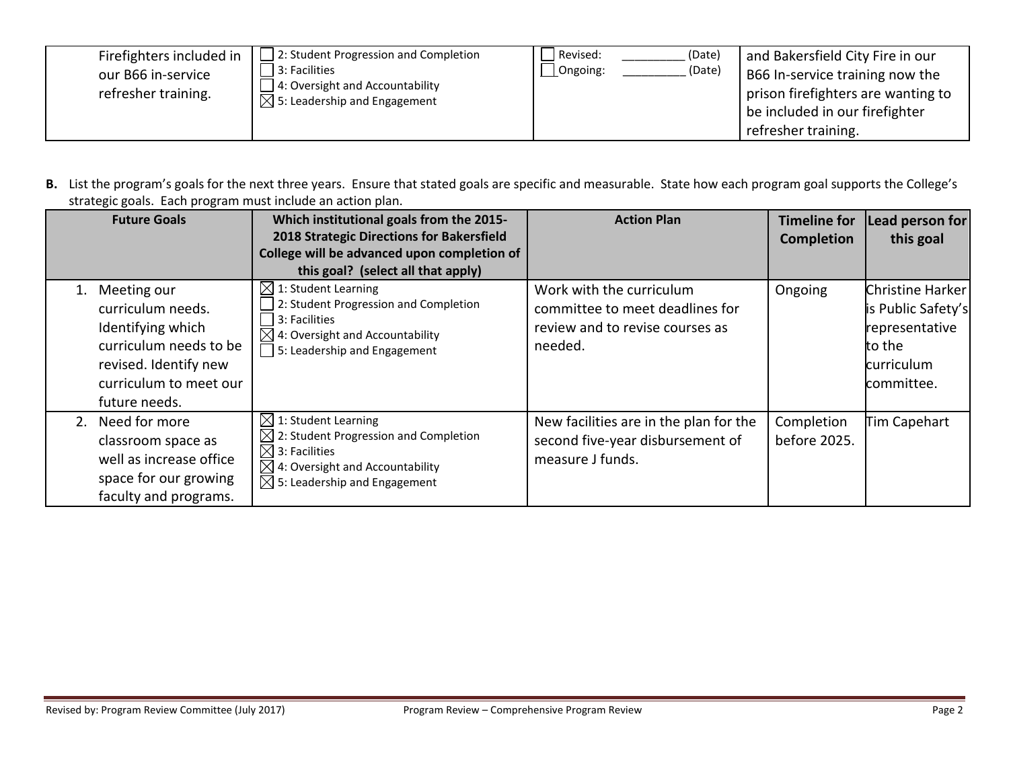| Firefighters included in<br>our B66 in-service<br>refresher training. | 2: Student Progression and Completion<br>3: Facilities<br>4: Oversight and Accountability<br>$\Box$ 5: Leadership and Engagement | Revised:<br>Ongoing: | (Date)<br>(Date) | and Bakersfield City Fire in our<br>B66 In-service training now the<br>prison firefighters are wanting to<br>be included in our firefighter<br>refresher training. |
|-----------------------------------------------------------------------|----------------------------------------------------------------------------------------------------------------------------------|----------------------|------------------|--------------------------------------------------------------------------------------------------------------------------------------------------------------------|
|-----------------------------------------------------------------------|----------------------------------------------------------------------------------------------------------------------------------|----------------------|------------------|--------------------------------------------------------------------------------------------------------------------------------------------------------------------|

**B.** List the program's goals for the next three years. Ensure that stated goals are specific and measurable. State how each program goal supports the College's strategic goals. Each program must include an action plan.

| <b>Future Goals</b>                                                                                                                                       | Which institutional goals from the 2015-<br>2018 Strategic Directions for Bakersfield<br>College will be advanced upon completion of<br>this goal? (select all that apply)                                   | <b>Action Plan</b>                                                                                        | <b>Timeline for</b><br><b>Completion</b> | Lead person for<br>this goal                                                                          |
|-----------------------------------------------------------------------------------------------------------------------------------------------------------|--------------------------------------------------------------------------------------------------------------------------------------------------------------------------------------------------------------|-----------------------------------------------------------------------------------------------------------|------------------------------------------|-------------------------------------------------------------------------------------------------------|
| Meeting our<br>1.<br>curriculum needs.<br>Identifying which<br>curriculum needs to be<br>revised. Identify new<br>curriculum to meet our<br>future needs. | $\boxtimes$ 1: Student Learning<br>2: Student Progression and Completion<br>3: Facilities<br>$\boxtimes$ 4: Oversight and Accountability<br>$\Box$ 5: Leadership and Engagement                              | Work with the curriculum<br>committee to meet deadlines for<br>review and to revise courses as<br>needed. | Ongoing                                  | <b>Christine Harker</b><br>is Public Safety's<br>representative<br>to the<br>curriculum<br>committee. |
| 2. Need for more<br>classroom space as<br>well as increase office<br>space for our growing<br>faculty and programs.                                       | $\boxtimes$ 1: Student Learning<br>$\boxtimes$ 2: Student Progression and Completion<br>$\boxtimes$ 3: Facilities<br>$\boxtimes$ 4: Oversight and Accountability<br>$\boxtimes$ 5: Leadership and Engagement | New facilities are in the plan for the<br>second five-year disbursement of<br>measure J funds.            | Completion<br>before 2025.               | Tim Capehart                                                                                          |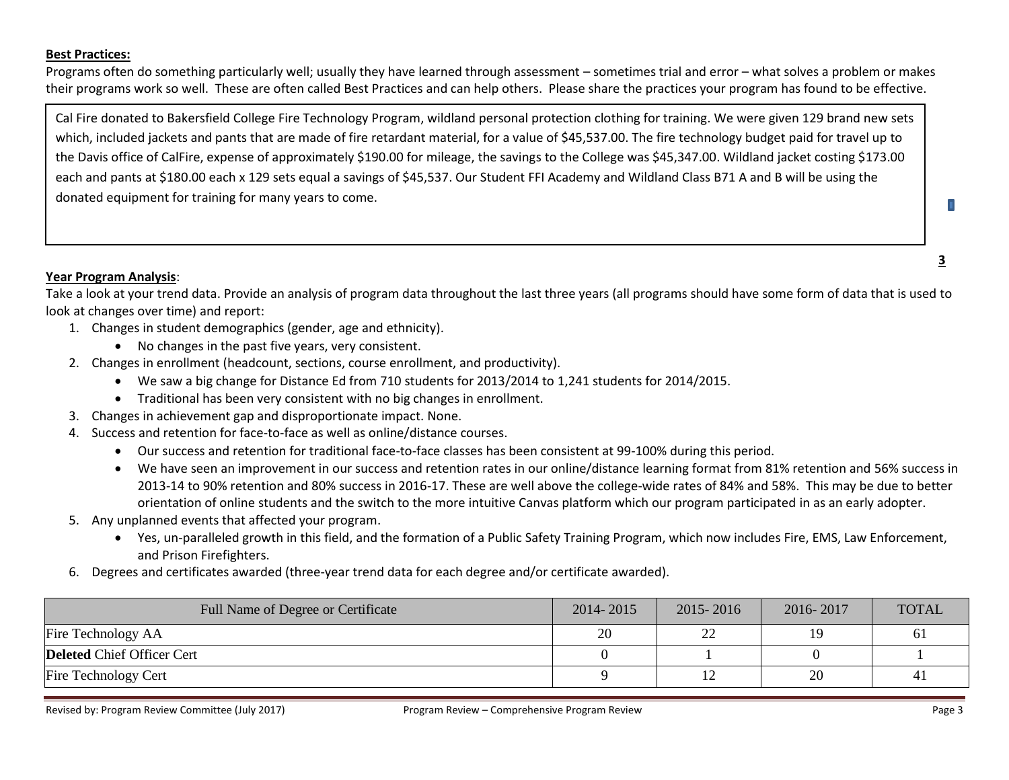#### **Best Practices:**

Programs often do something particularly well; usually they have learned through assessment – sometimes trial and error – what solves a problem or makes their programs work so well. These are often called Best Practices and can help others. Please share the practices your program has found to be effective.

Cal Fire donated to Bakersfield College Fire Technology Program, wildland personal protection clothing for training. We were given 129 brand new sets which, included jackets and pants that are made of fire retardant material, for a value of \$45,537.00. The fire technology budget paid for travel up to the Davis office of CalFire, expense of approximately \$190.00 for mileage, the savings to the College was \$45,347.00. Wildland jacket costing \$173.00 each and pants at \$180.00 each x 129 sets equal a savings of \$45,537. Our Student FFI Academy and Wildland Class B71 A and B will be using the donated equipment for training for many years to come.

## **Year Program Analysis**:

Take a look at your trend data. Provide an analysis of program data throughout the last three years (all programs should have some form of data that is used to look at changes over time) and report:

- 1. Changes in student demographics (gender, age and ethnicity).
	- No changes in the past five years, very consistent.
- 2. Changes in enrollment (headcount, sections, course enrollment, and productivity).
	- We saw a big change for Distance Ed from 710 students for 2013/2014 to 1,241 students for 2014/2015.
	- Traditional has been very consistent with no big changes in enrollment.
- 3. Changes in achievement gap and disproportionate impact. None.
- 4. Success and retention for face-to-face as well as online/distance courses.
	- Our success and retention for traditional face-to-face classes has been consistent at 99-100% during this period.
	- We have seen an improvement in our success and retention rates in our online/distance learning format from 81% retention and 56% success in 2013-14 to 90% retention and 80% success in 2016-17. These are well above the college-wide rates of 84% and 58%. This may be due to better orientation of online students and the switch to the more intuitive Canvas platform which our program participated in as an early adopter.
- 5. Any unplanned events that affected your program.
	- Yes, un-paralleled growth in this field, and the formation of a Public Safety Training Program, which now includes Fire, EMS, Law Enforcement, and Prison Firefighters.
- 6. Degrees and certificates awarded (three-year trend data for each degree and/or certificate awarded).

| Full Name of Degree or Certificate | 2014-2015 | 2015-2016    | 2016-2017 | <b>TOTAL</b>   |
|------------------------------------|-----------|--------------|-----------|----------------|
| Fire Technology AA                 | 20        | $\cap$<br>∠∠ |           |                |
| <b>Deleted</b> Chief Officer Cert  |           |              |           |                |
| <b>Fire Technology Cert</b>        |           |              | 20        | 4 <sub>1</sub> |

**3** 

п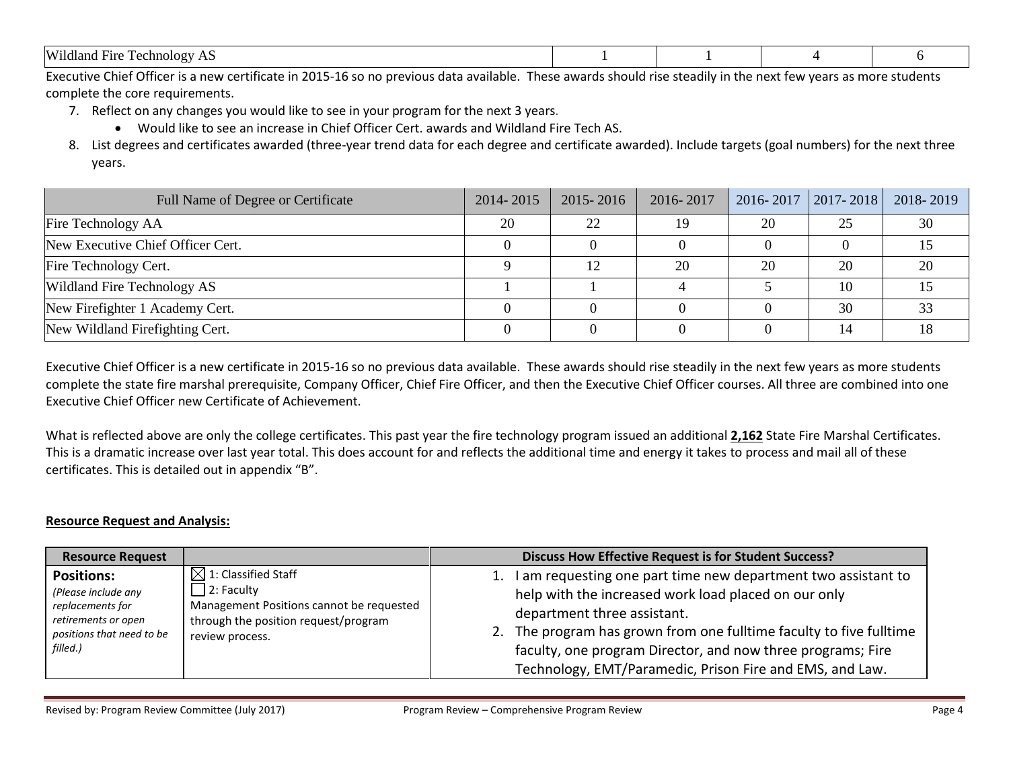| Wildland<br><u>т</u><br><b>Echnology</b><br>Fire<br><b>TIP</b><br>. . |  |  |
|-----------------------------------------------------------------------|--|--|

Executive Chief Officer is a new certificate in 2015-16 so no previous data available. These awards should rise steadily in the next few years as more students complete the core requirements.

- 7. Reflect on any changes you would like to see in your program for the next 3 years.
	- Would like to see an increase in Chief Officer Cert. awards and Wildland Fire Tech AS.
- 8. List degrees and certificates awarded (three-year trend data for each degree and certificate awarded). Include targets (goal numbers) for the next three years.

| Full Name of Degree or Certificate | 2014-2015 | 2015-2016 | 2016-2017 | $2016 - 2017$   2017 - 2018 |    | 2018-2019 |
|------------------------------------|-----------|-----------|-----------|-----------------------------|----|-----------|
| Fire Technology AA                 | 20        | 22        | 19        | 20                          | 25 | 30        |
| New Executive Chief Officer Cert.  |           |           |           |                             |    |           |
| Fire Technology Cert.              |           | 12        | 20        | 20                          | 20 | 20        |
| Wildland Fire Technology AS        |           |           |           |                             |    |           |
| New Firefighter 1 Academy Cert.    |           |           |           |                             | 30 |           |
| New Wildland Firefighting Cert.    |           |           |           |                             |    |           |

Executive Chief Officer is a new certificate in 2015-16 so no previous data available. These awards should rise steadily in the next few years as more students complete the state fire marshal prerequisite, Company Officer, Chief Fire Officer, and then the Executive Chief Officer courses. All three are combined into one Executive Chief Officer new Certificate of Achievement.

What is reflected above are only the college certificates. This past year the fire technology program issued an additional **2,162** State Fire Marshal Certificates. This is a dramatic increase over last year total. This does account for and reflects the additional time and energy it takes to process and mail all of these certificates. This is detailed out in appendix "B".

## **Resource Request and Analysis:**

| <b>Resource Request</b>                                                                                                      |                                                                                                                                                      | <b>Discuss How Effective Request is for Student Success?</b>                                                                                                                                                                                                                                                                                                    |
|------------------------------------------------------------------------------------------------------------------------------|------------------------------------------------------------------------------------------------------------------------------------------------------|-----------------------------------------------------------------------------------------------------------------------------------------------------------------------------------------------------------------------------------------------------------------------------------------------------------------------------------------------------------------|
| <b>Positions:</b><br>(Please include any<br>replacements for<br>retirements or open<br>positions that need to be<br>filled.) | $\boxtimes$ 1: Classified Staff<br>2: Faculty<br>Management Positions cannot be requested<br>through the position request/program<br>review process. | I am requesting one part time new department two assistant to<br>1.<br>help with the increased work load placed on our only<br>department three assistant.<br>The program has grown from one fulltime faculty to five fulltime<br>2.<br>faculty, one program Director, and now three programs; Fire<br>Technology, EMT/Paramedic, Prison Fire and EMS, and Law. |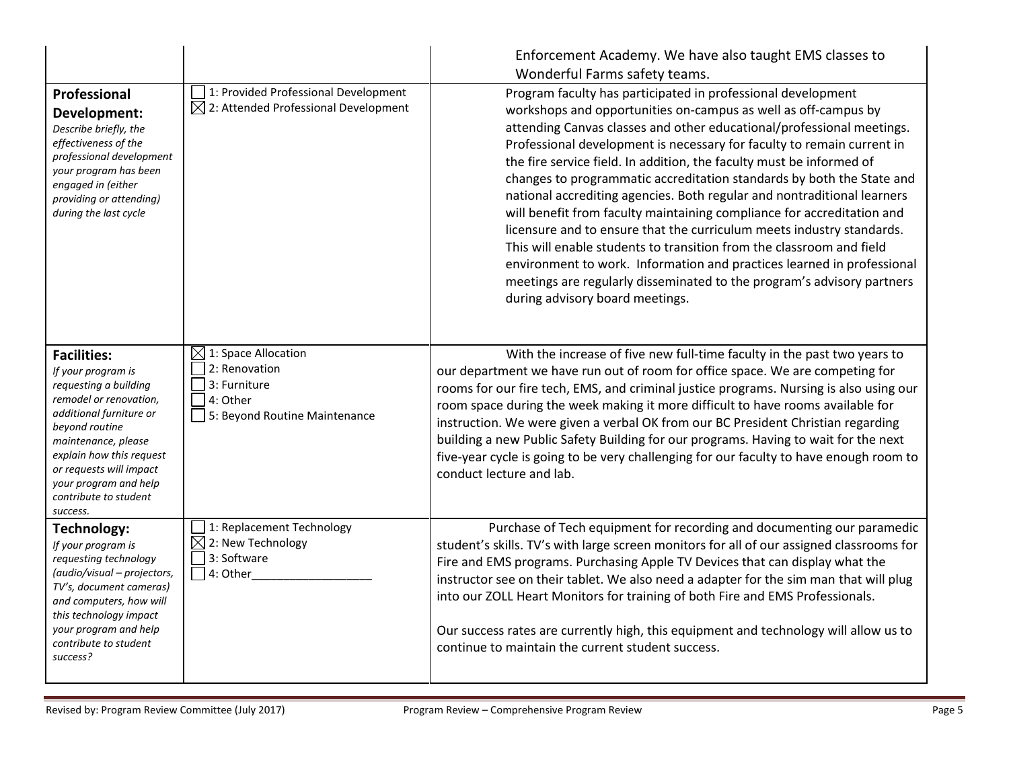|                                                                                                                                                                                                                                                                                      |                                                                                                               | Enforcement Academy. We have also taught EMS classes to<br>Wonderful Farms safety teams.                                                                                                                                                                                                                                                                                                                                                                                                                                                                                                                                                                                                                                                                                                                                                                                                                                        |
|--------------------------------------------------------------------------------------------------------------------------------------------------------------------------------------------------------------------------------------------------------------------------------------|---------------------------------------------------------------------------------------------------------------|---------------------------------------------------------------------------------------------------------------------------------------------------------------------------------------------------------------------------------------------------------------------------------------------------------------------------------------------------------------------------------------------------------------------------------------------------------------------------------------------------------------------------------------------------------------------------------------------------------------------------------------------------------------------------------------------------------------------------------------------------------------------------------------------------------------------------------------------------------------------------------------------------------------------------------|
| Professional<br>Development:<br>Describe briefly, the<br>effectiveness of the<br>professional development<br>your program has been<br>engaged in (either<br>providing or attending)<br>during the last cycle                                                                         | 1: Provided Professional Development<br>$\boxtimes$ 2: Attended Professional Development                      | Program faculty has participated in professional development<br>workshops and opportunities on-campus as well as off-campus by<br>attending Canvas classes and other educational/professional meetings.<br>Professional development is necessary for faculty to remain current in<br>the fire service field. In addition, the faculty must be informed of<br>changes to programmatic accreditation standards by both the State and<br>national accrediting agencies. Both regular and nontraditional learners<br>will benefit from faculty maintaining compliance for accreditation and<br>licensure and to ensure that the curriculum meets industry standards.<br>This will enable students to transition from the classroom and field<br>environment to work. Information and practices learned in professional<br>meetings are regularly disseminated to the program's advisory partners<br>during advisory board meetings. |
| <b>Facilities:</b><br>If your program is<br>requesting a building<br>remodel or renovation,<br>additional furniture or<br>beyond routine<br>maintenance, please<br>explain how this request<br>or requests will impact<br>your program and help<br>contribute to student<br>success. | $\boxtimes$ 1: Space Allocation<br>2: Renovation<br>3: Furniture<br>4: Other<br>5: Beyond Routine Maintenance | With the increase of five new full-time faculty in the past two years to<br>our department we have run out of room for office space. We are competing for<br>rooms for our fire tech, EMS, and criminal justice programs. Nursing is also using our<br>room space during the week making it more difficult to have rooms available for<br>instruction. We were given a verbal OK from our BC President Christian regarding<br>building a new Public Safety Building for our programs. Having to wait for the next<br>five-year cycle is going to be very challenging for our faculty to have enough room to<br>conduct lecture and lab.                                                                                                                                                                                                                                                                                         |
| Technology:<br>If your program is<br>requesting technology<br>(audio/visual - projectors,<br>TV's, document cameras)<br>and computers, how will<br>this technology impact<br>your program and help<br>contribute to student<br>success?                                              | 1: Replacement Technology<br>$\boxtimes$ 2: New Technology<br>3: Software<br>$\Box$ 4: Other                  | Purchase of Tech equipment for recording and documenting our paramedic<br>student's skills. TV's with large screen monitors for all of our assigned classrooms for<br>Fire and EMS programs. Purchasing Apple TV Devices that can display what the<br>instructor see on their tablet. We also need a adapter for the sim man that will plug<br>into our ZOLL Heart Monitors for training of both Fire and EMS Professionals.<br>Our success rates are currently high, this equipment and technology will allow us to<br>continue to maintain the current student success.                                                                                                                                                                                                                                                                                                                                                       |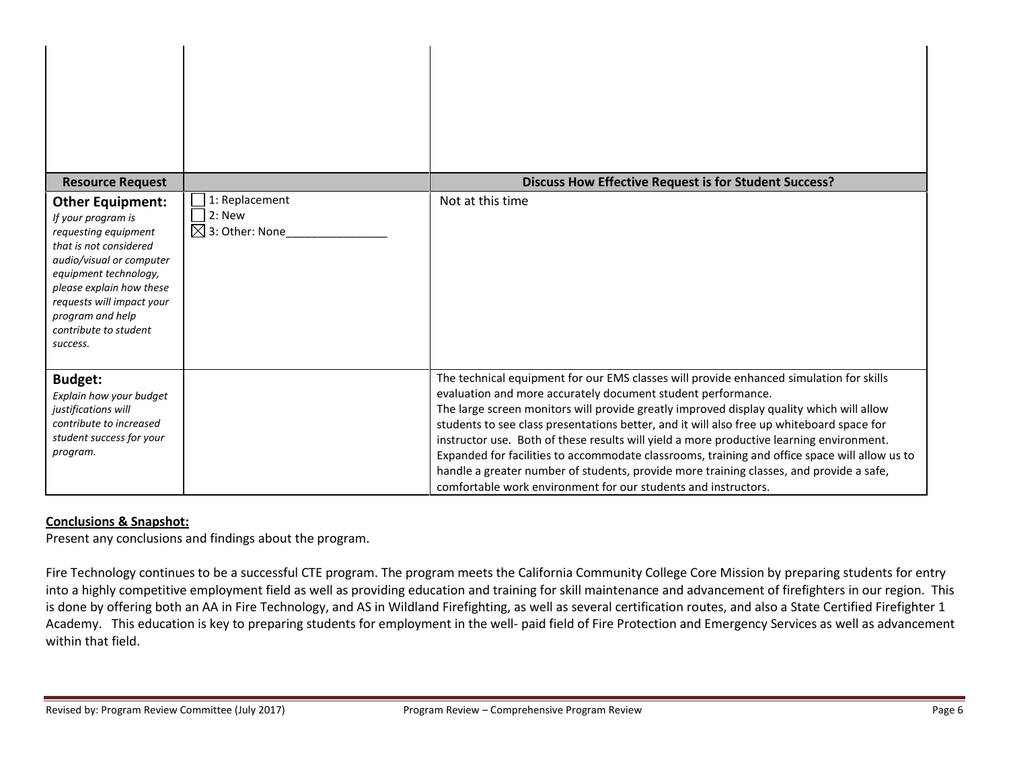| <b>Resource Request</b>                                                                                                                                                                                                                                                |                                                         | <b>Discuss How Effective Request is for Student Success?</b>                                                                                                                                                                                                                                                                                                                                                                                                                                                                                                                                                                                                                                               |
|------------------------------------------------------------------------------------------------------------------------------------------------------------------------------------------------------------------------------------------------------------------------|---------------------------------------------------------|------------------------------------------------------------------------------------------------------------------------------------------------------------------------------------------------------------------------------------------------------------------------------------------------------------------------------------------------------------------------------------------------------------------------------------------------------------------------------------------------------------------------------------------------------------------------------------------------------------------------------------------------------------------------------------------------------------|
| <b>Other Equipment:</b><br>If your program is<br>requesting equipment<br>that is not considered<br>audio/visual or computer<br>equipment technology,<br>please explain how these<br>requests will impact your<br>program and help<br>contribute to student<br>success. | 1: Replacement<br>2: New<br>$\boxtimes$ 3: Other: None_ | Not at this time                                                                                                                                                                                                                                                                                                                                                                                                                                                                                                                                                                                                                                                                                           |
| <b>Budget:</b><br>Explain how your budget<br>justifications will<br>contribute to increased<br>student success for your<br>program.                                                                                                                                    |                                                         | The technical equipment for our EMS classes will provide enhanced simulation for skills<br>evaluation and more accurately document student performance.<br>The large screen monitors will provide greatly improved display quality which will allow<br>students to see class presentations better, and it will also free up whiteboard space for<br>instructor use. Both of these results will yield a more productive learning environment.<br>Expanded for facilities to accommodate classrooms, training and office space will allow us to<br>handle a greater number of students, provide more training classes, and provide a safe,<br>comfortable work environment for our students and instructors. |

## **Conclusions & Snapshot:**

Present any conclusions and findings about the program.

Fire Technology continues to be a successful CTE program. The program meets the California Community College Core Mission by preparing students for entry into a highly competitive employment field as well as providing education and training for skill maintenance and advancement of firefighters in our region. This is done by offering both an AA in Fire Technology, and AS in Wildland Firefighting, as well as several certification routes, and also a State Certified Firefighter 1 Academy. This education is key to preparing students for employment in the well- paid field of Fire Protection and Emergency Services as well as advancement within that field.